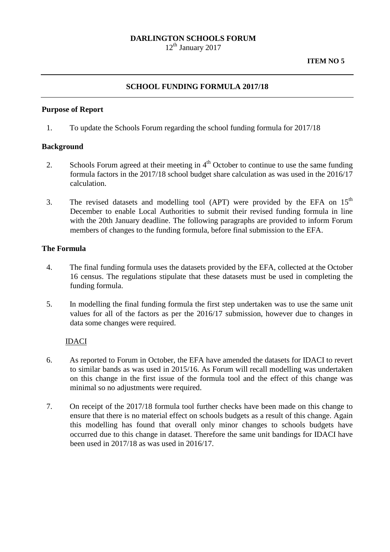## **DARLINGTON SCHOOLS FORUM**

 $12<sup>th</sup>$  January 2017

# **SCHOOL FUNDING FORMULA 2017/18**

#### **Purpose of Report**

1. To update the Schools Forum regarding the school funding formula for 2017/18

#### **Background**

- 2. Schools Forum agreed at their meeting in  $4<sup>th</sup>$  October to continue to use the same funding formula factors in the 2017/18 school budget share calculation as was used in the 2016/17 calculation.
- 3. The revised datasets and modelling tool (APT) were provided by the EFA on 15<sup>th</sup> December to enable Local Authorities to submit their revised funding formula in line with the 20th January deadline. The following paragraphs are provided to inform Forum members of changes to the funding formula, before final submission to the EFA.

#### **The Formula**

- 4. The final funding formula uses the datasets provided by the EFA, collected at the October 16 census. The regulations stipulate that these datasets must be used in completing the funding formula.
- 5. In modelling the final funding formula the first step undertaken was to use the same unit values for all of the factors as per the 2016/17 submission, however due to changes in data some changes were required.

#### IDACI

- 6. As reported to Forum in October, the EFA have amended the datasets for IDACI to revert to similar bands as was used in 2015/16. As Forum will recall modelling was undertaken on this change in the first issue of the formula tool and the effect of this change was minimal so no adjustments were required.
- 7. On receipt of the 2017/18 formula tool further checks have been made on this change to ensure that there is no material effect on schools budgets as a result of this change. Again this modelling has found that overall only minor changes to schools budgets have occurred due to this change in dataset. Therefore the same unit bandings for IDACI have been used in 2017/18 as was used in 2016/17.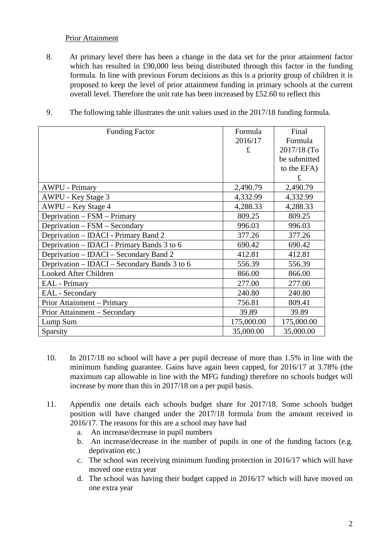# Prior Attainment

8. At primary level there has been a change in the data set for the prior attainment factor which has resulted in £90,000 less being distributed through this factor in the funding formula. In line with previous Forum decisions as this is a priority group of children it is proposed to keep the level of prior attainment funding in primary schools at the current overall level. Therefore the unit rate has been increased by £52.60 to reflect this

| <b>Funding Factor</b>                        | Formula    | Final        |
|----------------------------------------------|------------|--------------|
|                                              | 2016/17    | Formula      |
|                                              | £          | 2017/18 (To  |
|                                              |            | be submitted |
|                                              |            | to the EFA)  |
|                                              |            | £            |
| <b>AWPU - Primary</b>                        | 2,490.79   | 2,490.79     |
| AWPU - Key Stage 3                           | 4,332.99   | 4,332.99     |
| AWPU – Key Stage 4                           | 4,288.33   | 4,288.33     |
| Deprivation – FSM – Primary                  | 809.25     | 809.25       |
| Deprivation - FSM - Secondary                | 996.03     | 996.03       |
| Deprivation – IDACI - Primary Band 2         | 377.26     | 377.26       |
| Deprivation – IDACI - Primary Bands 3 to 6   | 690.42     | 690.42       |
| Deprivation – IDACI – Secondary Band 2       | 412.81     | 412.81       |
| Deprivation – IDACI – Secondary Bands 3 to 6 | 556.39     | 556.39       |
| Looked After Children                        | 866.00     | 866.00       |
| <b>EAL</b> - Primary                         | 277.00     | 277.00       |
| <b>EAL</b> - Secondary                       | 240.80     | 240.80       |
| Prior Attainment - Primary                   | 756.81     | 809.41       |
| Prior Attainment - Secondary                 | 39.89      | 39.89        |
| Lump Sum                                     | 175,000.00 | 175,000.00   |
| Sparsity                                     | 35,000.00  | 35,000.00    |

9. The following table illustrates the unit values used in the 2017/18 funding formula.

- 10. In 2017/18 no school will have a per pupil decrease of more than 1.5% in line with the minimum funding guarantee. Gains have again been capped, for 2016/17 at 3.78% (the maximum cap allowable in line with the MFG funding) therefore no schools budget will increase by more than this in 2017/18 on a per pupil basis.
- 11. Appendix one details each schools budget share for 2017/18. Some schools budget position will have changed under the 2017/18 formula from the amount received in 2016/17. The reasons for this are a school may have had
	- a. An increase/decrease in pupil numbers
	- b. An increase/decrease in the number of pupils in one of the funding factors (e.g. deprivation etc.)
	- c. The school was receiving minimum funding protection in 2016/17 which will have moved one extra year
	- d. The school was having their budget capped in 2016/17 which will have moved on one extra year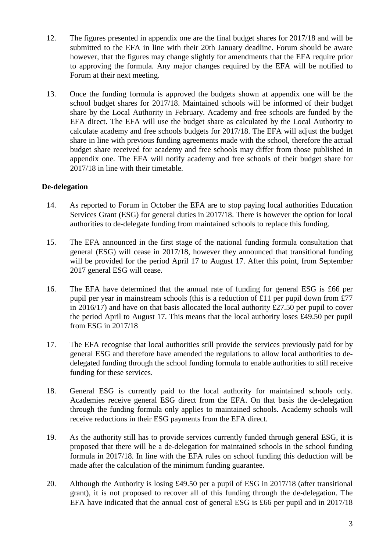- 12. The figures presented in appendix one are the final budget shares for 2017/18 and will be submitted to the EFA in line with their 20th January deadline. Forum should be aware however, that the figures may change slightly for amendments that the EFA require prior to approving the formula. Any major changes required by the EFA will be notified to Forum at their next meeting.
- 13. Once the funding formula is approved the budgets shown at appendix one will be the school budget shares for 2017/18. Maintained schools will be informed of their budget share by the Local Authority in February. Academy and free schools are funded by the EFA direct. The EFA will use the budget share as calculated by the Local Authority to calculate academy and free schools budgets for 2017/18. The EFA will adjust the budget share in line with previous funding agreements made with the school, therefore the actual budget share received for academy and free schools may differ from those published in appendix one. The EFA will notify academy and free schools of their budget share for 2017/18 in line with their timetable.

# **De-delegation**

- 14. As reported to Forum in October the EFA are to stop paying local authorities Education Services Grant (ESG) for general duties in 2017/18. There is however the option for local authorities to de-delegate funding from maintained schools to replace this funding.
- 15. The EFA announced in the first stage of the national funding formula consultation that general (ESG) will cease in 2017/18, however they announced that transitional funding will be provided for the period April 17 to August 17. After this point, from September 2017 general ESG will cease.
- 16. The EFA have determined that the annual rate of funding for general ESG is £66 per pupil per year in mainstream schools (this is a reduction of £11 per pupil down from £77 in 2016/17) and have on that basis allocated the local authority  $£27.50$  per pupil to cover the period April to August 17. This means that the local authority loses £49.50 per pupil from ESG in 2017/18
- 17. The EFA recognise that local authorities still provide the services previously paid for by general ESG and therefore have amended the regulations to allow local authorities to dedelegated funding through the school funding formula to enable authorities to still receive funding for these services.
- 18. General ESG is currently paid to the local authority for maintained schools only. Academies receive general ESG direct from the EFA. On that basis the de-delegation through the funding formula only applies to maintained schools. Academy schools will receive reductions in their ESG payments from the EFA direct.
- 19. As the authority still has to provide services currently funded through general ESG, it is proposed that there will be a de-delegation for maintained schools in the school funding formula in 2017/18. In line with the EFA rules on school funding this deduction will be made after the calculation of the minimum funding guarantee.
- 20. Although the Authority is losing £49.50 per a pupil of ESG in 2017/18 (after transitional grant), it is not proposed to recover all of this funding through the de-delegation. The EFA have indicated that the annual cost of general ESG is £66 per pupil and in 2017/18